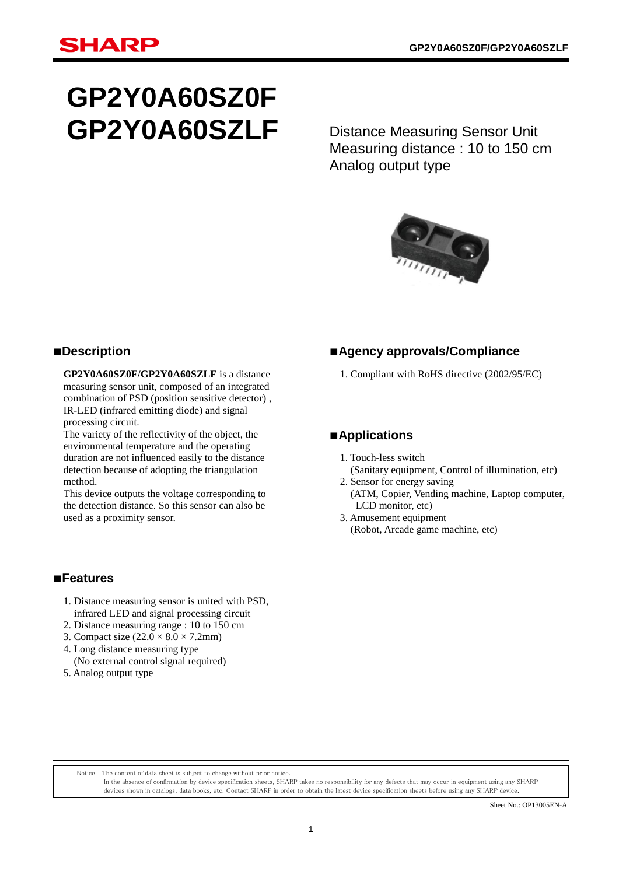# **GP2Y0A60SZ0F GP2Y0A60SZLF**

Distance Measuring Sensor Unit Measuring distance : 10 to 150 cm Analog output type



## ■**Description**

**GP2Y0A60SZ0F/GP2Y0A60SZLF** is a distance measuring sensor unit, composed of an integrated combination of PSD (position sensitive detector) , IR-LED (infrared emitting diode) and signal processing circuit.

The variety of the reflectivity of the object, the environmental temperature and the operating duration are not influenced easily to the distance detection because of adopting the triangulation method.

This device outputs the voltage corresponding to the detection distance. So this sensor can also be used as a proximity sensor.

## ■**Agency approvals/Compliance**

1. Compliant with RoHS directive (2002/95/EC)

## ■**Applications**

- 1. Touch-less switch (Sanitary equipment, Control of illumination, etc)
- 2. Sensor for energy saving (ATM, Copier, Vending machine, Laptop computer, LCD monitor, etc)
- 3. Amusement equipment (Robot, Arcade game machine, etc)

## ■**Features**

- 1. Distance measuring sensor is united with PSD, infrared LED and signal processing circuit
- 2. Distance measuring range : 10 to 150 cm
- 3. Compact size  $(22.0 \times 8.0 \times 7.2 \text{mm})$
- 4. Long distance measuring type
- (No external control signal required)
- 5. Analog output type

Notice The content of data sheet is subject to change without prior notice.

In the absence of confirmation by device specification sheets, SHARP takes no responsibility for any defects that may occur in equipment using any SHARP devices shown in catalogs, data books, etc. Contact SHARP in order to obtain the latest device specification sheets before using any SHARP device.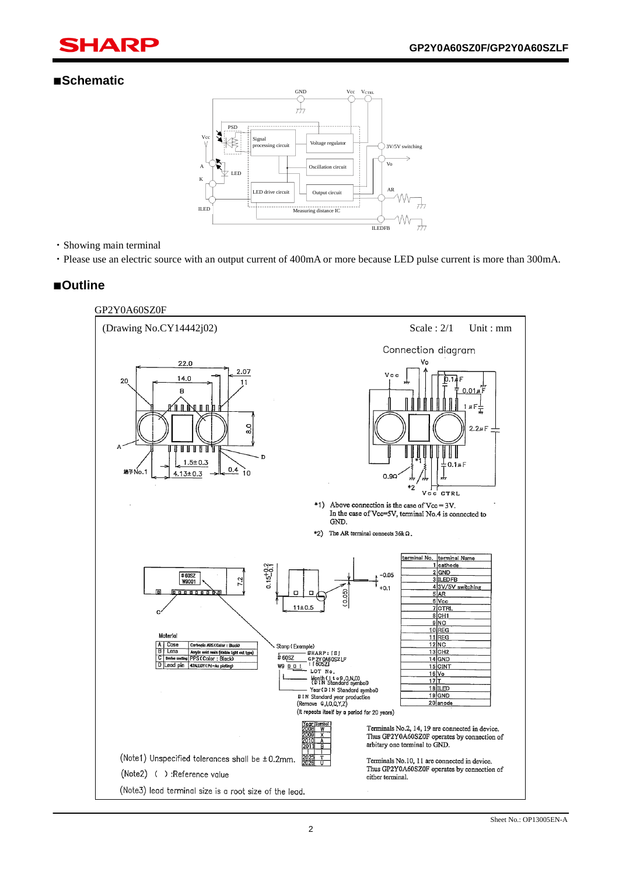## ■**Schematic**

ī



## ・Showing main terminal

・Please use an electric source with an output current of 400mA or more because LED pulse current is more than 300mA.

## ■**Outline**

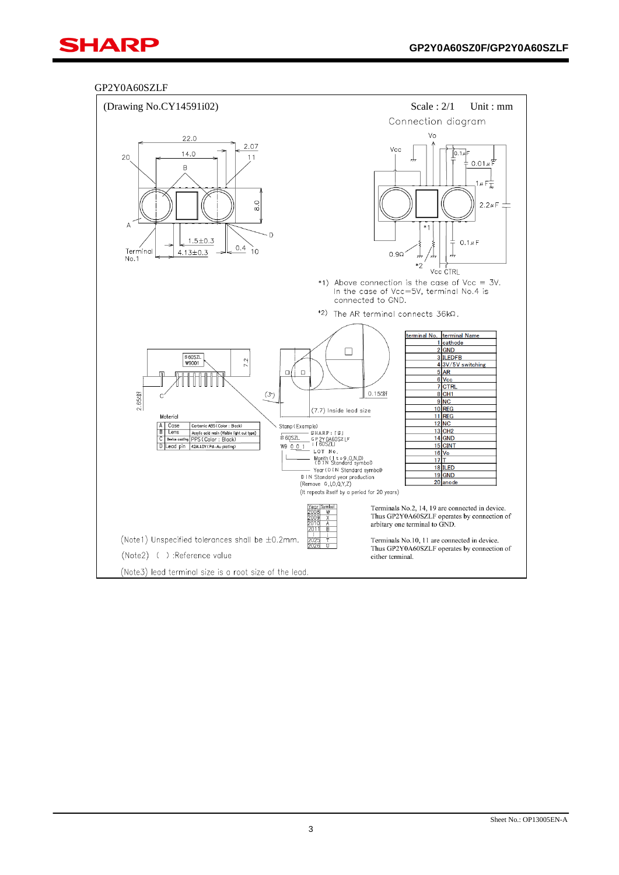ī

## GP2Y0A60SZLF

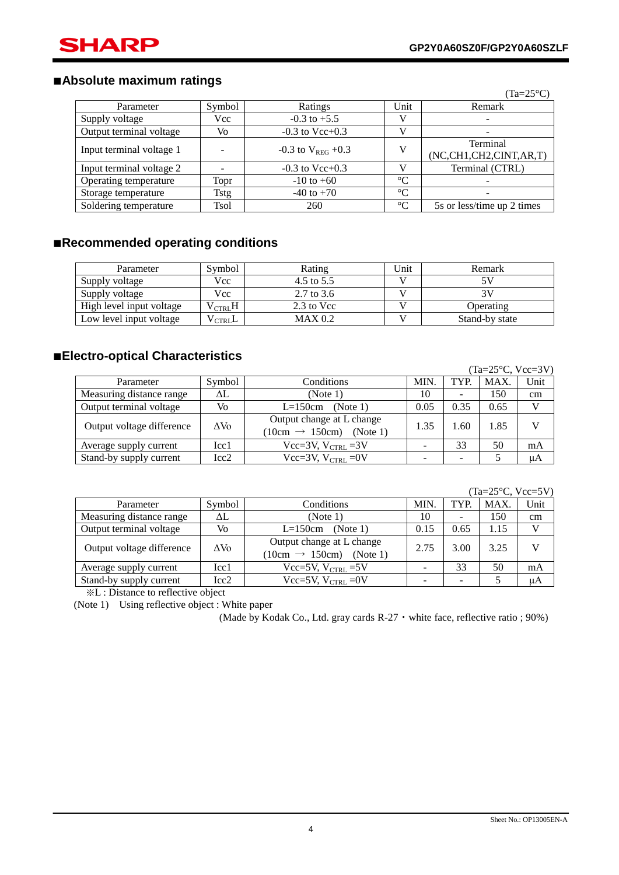ī

## ■**Absolute maximum ratings**

|                          |             |                          |                 | $(Ta=25^{\circ}C)$                 |
|--------------------------|-------------|--------------------------|-----------------|------------------------------------|
| Parameter                | Symbol      | Ratings                  | Unit            | Remark                             |
| Supply voltage           | Vcc         | $-0.3$ to $+5.5$         |                 | $\overline{\phantom{m}}$           |
| Output terminal voltage  | Vo          | $-0.3$ to Vcc+0.3        |                 | $\overline{\phantom{a}}$           |
| Input terminal voltage 1 |             | $-0.3$ to $V_{REG}$ +0.3 | V               | Terminal<br>(NC,CH1,CH2,CINT,AR,T) |
| Input terminal voltage 2 |             | $-0.3$ to Vcc+0.3        |                 | Terminal (CTRL)                    |
| Operating temperature    | Topr        | $-10$ to $+60$           | $\rm ^{\circ}C$ | $\overline{\phantom{a}}$           |
| Storage temperature      | Tstg        | $-40$ to $+70$           | $\rm ^{\circ}C$ | $\overline{\phantom{m}}$           |
| Soldering temperature    | <b>Tsol</b> | 260                      | $\rm ^{\circ}C$ | 5s or less/time up 2 times         |

## ■**Recommended operating conditions**

| Parameter                | Symbol                | Rating                | Unit | Remark         |
|--------------------------|-----------------------|-----------------------|------|----------------|
| Supply voltage           | Vcc                   | 4.5 to $5.5$          |      | 57             |
| Supply voltage           | Vcc                   | $2.7 \text{ to } 3.6$ |      | 31             |
| High level input voltage | $\rm V_{\rm {CTRL}}H$ | 2.3 to Vcc            |      | Operating      |
| Low level input voltage  | $V_{\rm {CTRI}}$ L    | MAX 0.2               |      | Stand-by state |

## ■**Electro-optical Characteristics**

|                           |              |                                                                     |      |      | (Ta=25 $\textdegree$ C, Vcc=3V) |    |
|---------------------------|--------------|---------------------------------------------------------------------|------|------|---------------------------------|----|
| Parameter                 | Symbol       | Conditions                                                          | TYP. | MAX. | Unit                            |    |
| Measuring distance range  | ΔL           | (Note 1)                                                            | 10   |      | 150                             | cm |
| Output terminal voltage   | Vo           | $L=150cm$<br>(Note 1)                                               | 0.05 | 0.35 | 0.65                            |    |
| Output voltage difference | $\Delta V_0$ | Output change at L change<br>$(10cm \rightarrow 150cm)$<br>(Note 1) | 1.35 | 1.60 | 1.85                            |    |
| Average supply current    | Icc1         | Vcc=3V, $V_{CTRL}$ =3V                                              | -    | 33   | 50                              | mA |
| Stand-by supply current   | Icc2         | Vcc=3V, $V_{CTRI}$ =0V                                              | -    |      |                                 | μA |

 $(Ta=25\degree C$ ,  $Vcc=5V$ 

|                           |              |                                                                  |      |      | $1d - 2J$ C, $VU - JV$ |      |
|---------------------------|--------------|------------------------------------------------------------------|------|------|------------------------|------|
| Parameter                 | Symbol       | MIN.<br>Conditions                                               |      | TYP. | MAX.                   | Unit |
| Measuring distance range  | ΔL           | (Note 1)                                                         | 10   | ۰    | 150                    | cm   |
| Output terminal voltage   | Vo           | $L=150cm$<br>(Note 1)                                            | 0.15 | 0.65 | 1.15                   |      |
| Output voltage difference | $\Delta V_0$ | Output change at L change<br>$(10cm \rightarrow 150cm)$ (Note 1) | 2.75 | 3.00 | 3.25                   |      |
| Average supply current    | Icc1         | Vcc=5V, $V_{CTRL}$ =5V                                           |      | 33   | 50                     | mA   |
| Stand-by supply current   | Icc2         | Vcc=5V, $V_{CTRL}$ = 0V                                          |      |      |                        | μA   |

※L : Distance to reflective object

(Note 1) Using reflective object : White paper

(Made by Kodak Co., Ltd. gray cards R-27・white face, reflective ratio ; 90%)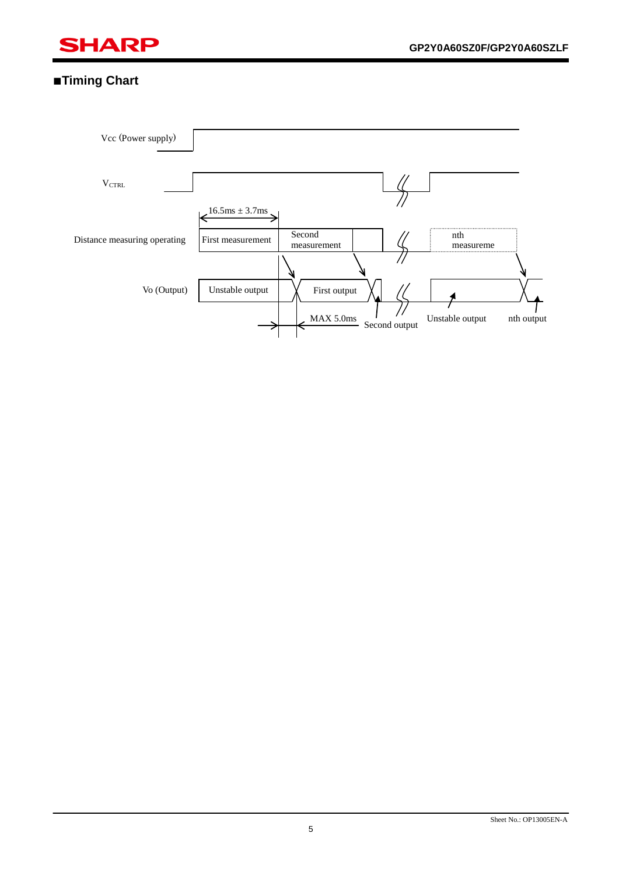

## ■**Timing Chart**

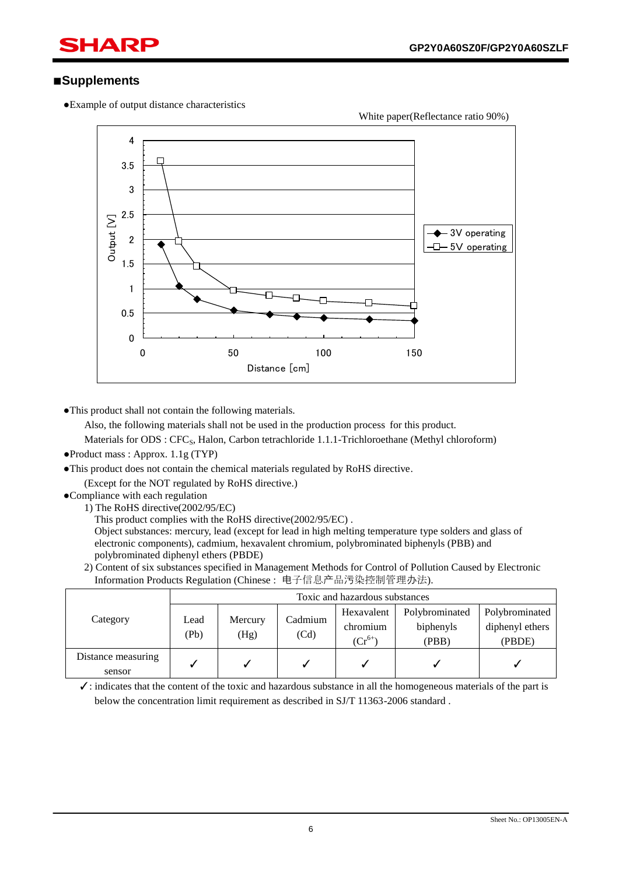## ■**Supplements**

ī

●Example of output distance characteristics



●This product shall not contain the following materials.

Also, the following materials shall not be used in the production process for this product.

Materials for ODS : CFC<sub>S</sub>, Halon, Carbon tetrachloride 1.1.1-Trichloroethane (Methyl chloroform)

- ●Product mass : Approx. 1.1g (TYP)
- ●This product does not contain the chemical materials regulated by RoHS directive.

(Except for the NOT regulated by RoHS directive.)

- ●Compliance with each regulation
	- 1) The RoHS directive(2002/95/EC)

This product complies with the RoHS directive(2002/95/EC) .

Object substances: mercury, lead (except for lead in high melting temperature type solders and glass of electronic components), cadmium, hexavalent chromium, polybrominated biphenyls (PBB) and polybrominated diphenyl ethers (PBDE)

2) Content of six substances specified in Management Methods for Control of Pollution Caused by Electronic Information Products Regulation (Chinese : 电子信息产品污染控制管理办法).

|                    | Toxic and hazardous substances |                 |                 |             |                |                 |  |  |
|--------------------|--------------------------------|-----------------|-----------------|-------------|----------------|-----------------|--|--|
| Category           |                                | Mercury<br>(Hg) | Cadmium<br>(Cd) | Hexavalent  | Polybrominated | Polybrominated  |  |  |
|                    | Lead<br>(Pb)                   |                 |                 | chromium    | biphenyls      | diphenyl ethers |  |  |
|                    |                                |                 |                 | $(Cr^{6+})$ | (PBB)          | (PBDE)          |  |  |
| Distance measuring |                                |                 |                 |             |                |                 |  |  |
| sensor             |                                |                 |                 |             |                |                 |  |  |

 $\checkmark$ : indicates that the content of the toxic and hazardous substance in all the homogeneous materials of the part is below the concentration limit requirement as described in SJ/T 11363-2006 standard .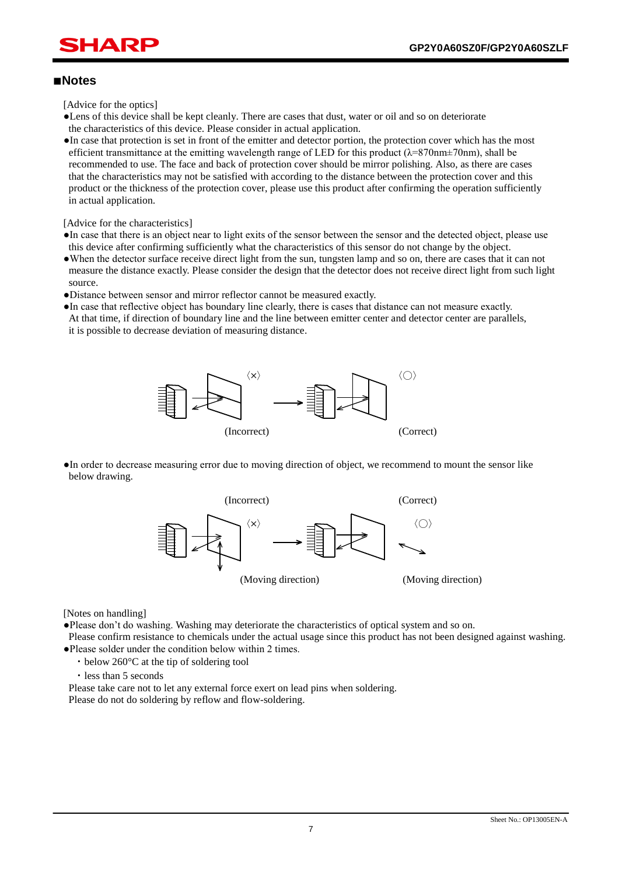## ■**Notes**

ī

[Advice for the optics]

- ●Lens of this device shall be kept cleanly. There are cases that dust, water or oil and so on deteriorate the characteristics of this device. Please consider in actual application.
- ●In case that protection is set in front of the emitter and detector portion, the protection cover which has the most efficient transmittance at the emitting wavelength range of LED for this product (λ=870nm±70nm), shall be recommended to use. The face and back of protection cover should be mirror polishing. Also, as there are cases that the characteristics may not be satisfied with according to the distance between the protection cover and this product or the thickness of the protection cover, please use this product after confirming the operation sufficiently in actual application.

[Advice for the characteristics]

- ●In case that there is an object near to light exits of the sensor between the sensor and the detected object, please use this device after confirming sufficiently what the characteristics of this sensor do not change by the object.
- ●When the detector surface receive direct light from the sun, tungsten lamp and so on, there are cases that it can not measure the distance exactly. Please consider the design that the detector does not receive direct light from such light source.
- ●Distance between sensor and mirror reflector cannot be measured exactly.
- ●In case that reflective object has boundary line clearly, there is cases that distance can not measure exactly. At that time, if direction of boundary line and the line between emitter center and detector center are parallels, it is possible to decrease deviation of measuring distance.



●In order to decrease measuring error due to moving direction of object, we recommend to mount the sensor like below drawing.



[Notes on handling]

●Please don't do washing. Washing may deteriorate the characteristics of optical system and so on.

- Please confirm resistance to chemicals under the actual usage since this product has not been designed against washing. ●Please solder under the condition below within 2 times.
	- ・below 260°C at the tip of soldering tool
	- ・less than 5 seconds

Please take care not to let any external force exert on lead pins when soldering.

Please do not do soldering by reflow and flow-soldering.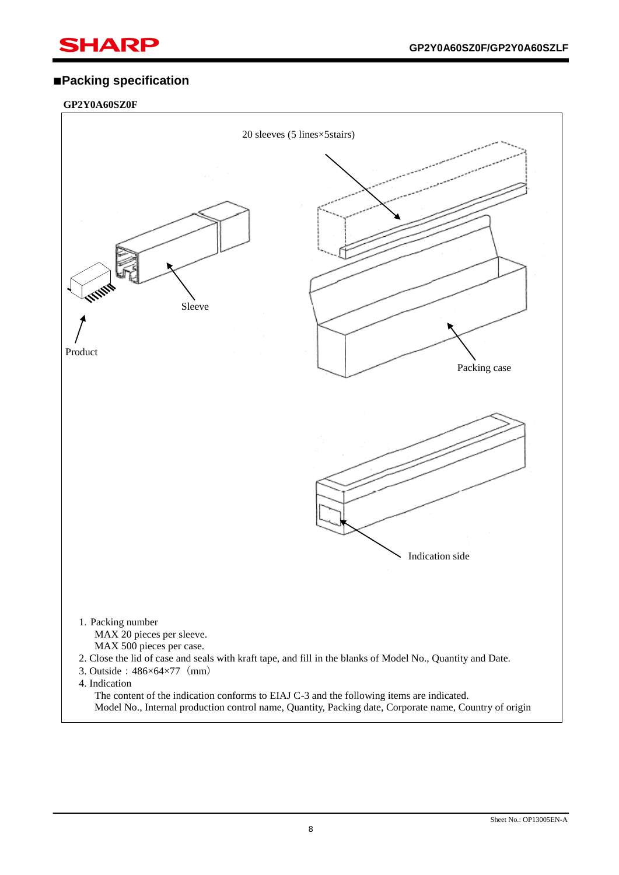## ■**Packing specification**

## **GP2Y0A60SZ0F**

ī

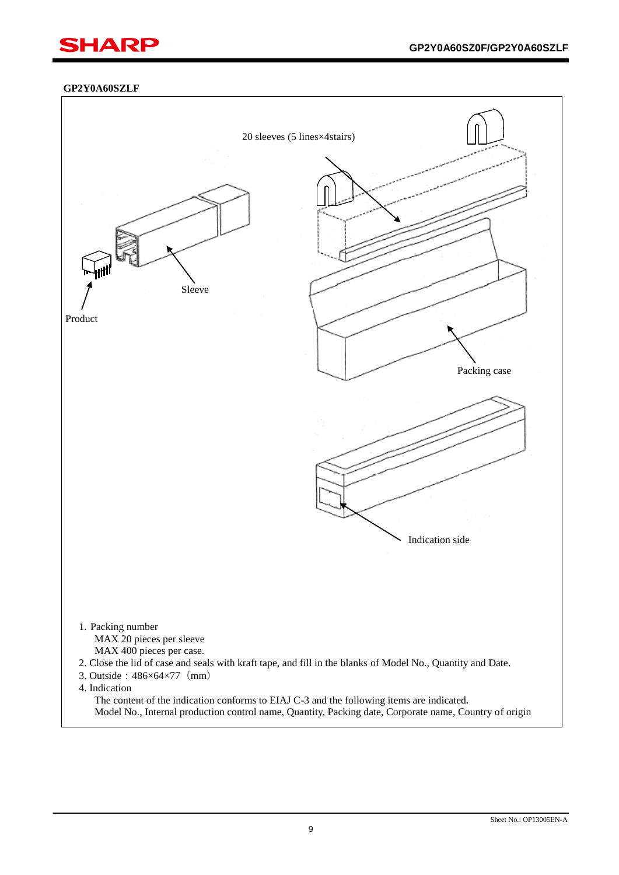## **GP2Y0A60SZLF**

ī

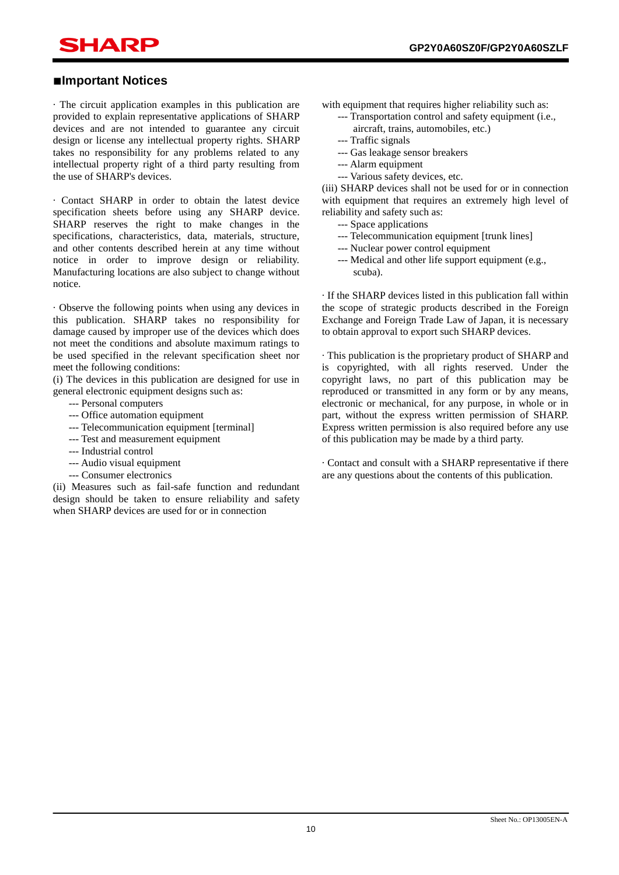# SHAR

ī

## ■**Important Notices**

· The circuit application examples in this publication are provided to explain representative applications of SHARP devices and are not intended to guarantee any circuit design or license any intellectual property rights. SHARP takes no responsibility for any problems related to any intellectual property right of a third party resulting from the use of SHARP's devices.

· Contact SHARP in order to obtain the latest device specification sheets before using any SHARP device. SHARP reserves the right to make changes in the specifications, characteristics, data, materials, structure, and other contents described herein at any time without notice in order to improve design or reliability. Manufacturing locations are also subject to change without notice.

· Observe the following points when using any devices in this publication. SHARP takes no responsibility for damage caused by improper use of the devices which does not meet the conditions and absolute maximum ratings to be used specified in the relevant specification sheet nor meet the following conditions:

(i) The devices in this publication are designed for use in general electronic equipment designs such as:

- --- Personal computers
- --- Office automation equipment
- --- Telecommunication equipment [terminal]
- --- Test and measurement equipment
- --- Industrial control
- --- Audio visual equipment
- --- Consumer electronics

(ii) Measures such as fail-safe function and redundant design should be taken to ensure reliability and safety when SHARP devices are used for or in connection

with equipment that requires higher reliability such as:

- --- Transportation control and safety equipment (i.e.,
	- aircraft, trains, automobiles, etc.)
- --- Traffic signals
- --- Gas leakage sensor breakers
- --- Alarm equipment
- --- Various safety devices, etc.

(iii) SHARP devices shall not be used for or in connection with equipment that requires an extremely high level of reliability and safety such as:

- --- Space applications
- --- Telecommunication equipment [trunk lines]
- --- Nuclear power control equipment
- --- Medical and other life support equipment (e.g., scuba).

· If the SHARP devices listed in this publication fall within the scope of strategic products described in the Foreign Exchange and Foreign Trade Law of Japan, it is necessary to obtain approval to export such SHARP devices.

· This publication is the proprietary product of SHARP and is copyrighted, with all rights reserved. Under the copyright laws, no part of this publication may be reproduced or transmitted in any form or by any means, electronic or mechanical, for any purpose, in whole or in part, without the express written permission of SHARP. Express written permission is also required before any use of this publication may be made by a third party.

· Contact and consult with a SHARP representative if there are any questions about the contents of this publication.